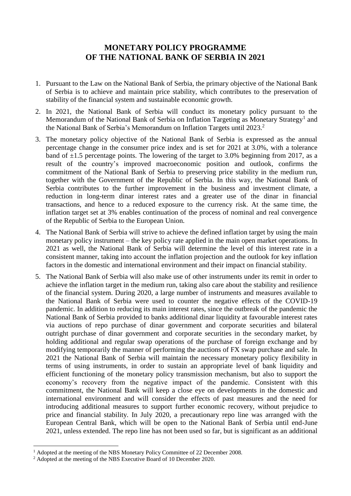## **MONETARY POLICY PROGRAMME OF THE NATIONAL BANK OF SERBIA IN 2021**

- 1. Pursuant to the Law on the National Bank of Serbia, the primary objective of the National Bank of Serbia is to achieve and maintain price stability, which contributes to the preservation of stability of the financial system and sustainable economic growth.
- 2. In 2021, the National Bank of Serbia will conduct its monetary policy pursuant to the Memorandum of the National Bank of Serbia on Inflation Targeting as Monetary Strategy<sup>1</sup> and the National Bank of Serbia's Memorandum on Inflation Targets until 2023. 2
- 3. The monetary policy objective of the National Bank of Serbia is expressed as the annual percentage change in the consumer price index and is set for 2021 at 3.0%, with a tolerance band of  $\pm 1.5$  percentage points. The lowering of the target to 3.0% beginning from 2017, as a result of the country's improved macroeconomic position and outlook, confirms the commitment of the National Bank of Serbia to preserving price stability in the medium run, together with the Government of the Republic of Serbia. In this way, the National Bank of Serbia contributes to the further improvement in the business and investment climate, a reduction in long-term dinar interest rates and a greater use of the dinar in financial transactions, and hence to a reduced exposure to the currency risk. At the same time, the inflation target set at 3% enables continuation of the process of nominal and real convergence of the Republic of Serbia to the European Union.
- 4. The National Bank of Serbia will strive to achieve the defined inflation target by using the main monetary policy instrument – the key policy rate applied in the main open market operations. In 2021 as well, the National Bank of Serbia will determine the level of this interest rate in a consistent manner, taking into account the inflation projection and the outlook for key inflation factors in the domestic and international environment and their impact on financial stability.
- 5. The National Bank of Serbia will also make use of other instruments under its remit in order to achieve the inflation target in the medium run, taking also care about the stability and resilience of the financial system. During 2020, a large number of instruments and measures available to the National Bank of Serbia were used to counter the negative effects of the COVID-19 pandemic. In addition to reducing its main interest rates, since the outbreak of the pandemic the National Bank of Serbia provided to banks additional dinar liquidity at favourable interest rates via auctions of repo purchase of dinar government and corporate securities and bilateral outright purchase of dinar government and corporate securities in the secondary market, by holding additional and regular swap operations of the purchase of foreign exchange and by modifying temporarily the manner of performing the auctions of FX swap purchase and sale. In 2021 the National Bank of Serbia will maintain the necessary monetary policy flexibility in terms of using instruments, in order to sustain an appropriate level of bank liquidity and efficient functioning of the monetary policy transmission mechanism, but also to support the economy's recovery from the negative impact of the pandemic. Consistent with this commitment, the National Bank will keep a close eye on developments in the domestic and international environment and will consider the effects of past measures and the need for introducing additional measures to support further economic recovery, without prejudice to price and financial stability. In July 2020, a precautionary repo line was arranged with the European Central Bank, which will be open to the National Bank of Serbia until end-June 2021, unless extended. The repo line has not been used so far, but is significant as an additional

1

<sup>&</sup>lt;sup>1</sup> Adopted at the meeting of the NBS Monetary Policy Committee of 22 December 2008.

<sup>&</sup>lt;sup>2</sup> Adopted at the meeting of the NBS Executive Board of 10 December 2020.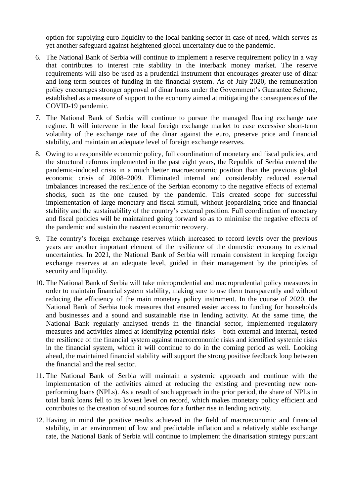option for supplying euro liquidity to the local banking sector in case of need, which serves as yet another safeguard against heightened global uncertainty due to the pandemic.

- 6. The National Bank of Serbia will continue to implement a reserve requirement policy in a way that contributes to interest rate stability in the interbank money market. The reserve requirements will also be used as a prudential instrument that encourages greater use of dinar and long-term sources of funding in the financial system. As of July 2020, the remuneration policy encourages stronger approval of dinar loans under the Government's Guarantee Scheme, established as a measure of support to the economy aimed at mitigating the consequences of the COVID-19 pandemic.
- 7. The National Bank of Serbia will continue to pursue the managed floating exchange rate regime. It will intervene in the local foreign exchange market to ease excessive short-term volatility of the exchange rate of the dinar against the euro, preserve price and financial stability, and maintain an adequate level of foreign exchange reserves.
- 8. Owing to a responsible economic policy, full coordination of monetary and fiscal policies, and the structural reforms implemented in the past eight years, the Republic of Serbia entered the pandemic-induced crisis in a much better macroeconomic position than the previous global economic crisis of 2008–2009. Eliminated internal and considerably reduced external imbalances increased the resilience of the Serbian economy to the negative effects of external shocks, such as the one caused by the pandemic. This created scope for successful implementation of large monetary and fiscal stimuli, without jeopardizing price and financial stability and the sustainability of the country's external position. Full coordination of monetary and fiscal policies will be maintained going forward so as to minimise the negative effects of the pandemic and sustain the nascent economic recovery.
- 9. The country's foreign exchange reserves which increased to record levels over the previous years are another important element of the resilience of the domestic economy to external uncertainties. In 2021, the National Bank of Serbia will remain consistent in keeping foreign exchange reserves at an adequate level, guided in their management by the principles of security and liquidity.
- 10. The National Bank of Serbia will take microprudential and macroprudential policy measures in order to maintain financial system stability, making sure to use them transparently and without reducing the efficiency of the main monetary policy instrument. In the course of 2020, the National Bank of Serbia took measures that ensured easier access to funding for households and businesses and a sound and sustainable rise in lending activity. At the same time, the National Bank regularly analysed trends in the financial sector, implemented regulatory measures and activities aimed at identifying potential risks – both external and internal, tested the resilience of the financial system against macroeconomic risks and identified systemic risks in the financial system, which it will continue to do in the coming period as well. Looking ahead, the maintained financial stability will support the strong positive feedback loop between the financial and the real sector.
- 11. The National Bank of Serbia will maintain a systemic approach and continue with the implementation of the activities aimed at reducing the existing and preventing new nonperforming loans (NPLs). As a result of such approach in the prior period, the share of NPLs in total bank loans fell to its lowest level on record, which makes monetary policy efficient and contributes to the creation of sound sources for a further rise in lending activity.
- 12. Having in mind the positive results achieved in the field of macroeconomic and financial stability, in an environment of low and predictable inflation and a relatively stable exchange rate, the National Bank of Serbia will continue to implement the dinarisation strategy pursuant